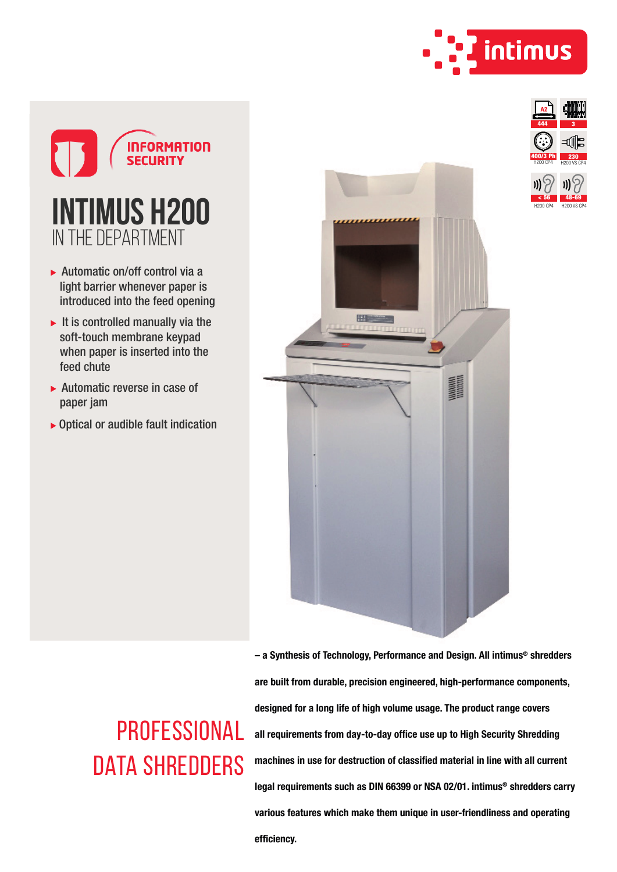



- ▶ Automatic on/off control via a light barrier whenever paper is introduced into the feed opening
- $\blacktriangleright$  It is controlled manually via the soft-touch membrane keypad when paper is inserted into the feed chute
- $\blacktriangleright$  Automatic reverse in case of paper jam
- $\triangleright$  Optical or audible fault indication

**PROFESSIONAL** 

DATA SHREDDERS





- a Synthesis of Technology, Performance and Design. All intimus® shredders are built from durable, precision engineered, high-performance components, designed for a long life of high volume usage. The product range covers all requirements from day-to-day office use up to High Security Shredding machines in use for destruction of classified material in line with all current legal requirements such as DIN 66399 or NSA 02/01. intimus® shredders carry various features which make them unique in user-friendliness and operating efficiency.